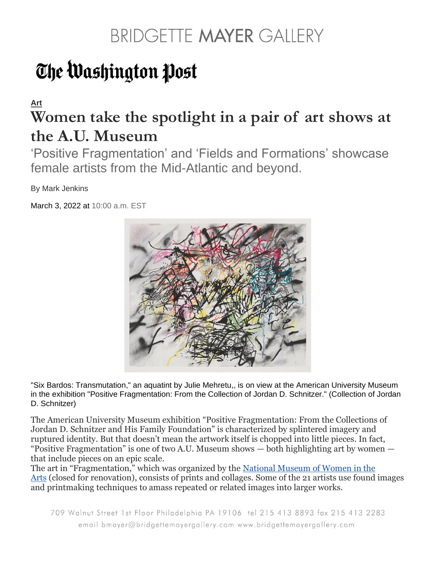# The Washington Post

#### **[Art](https://www.washingtonpost.com/goingoutguide/museums/) Women take the spotlight in a pair of art shows at the A.U. Museum**

'Positive Fragmentation' and 'Fields and Formations' showcase female artists from the Mid-Atlantic and beyond.

By Mark Jenkins

March 3, 2022 at 10:00 a.m. EST



"Six Bardos: Transmutation," an aquatint by Julie Mehretu,, is on view at the American University Museum in the exhibition "Positive Fragmentation: From the Collection of Jordan D. Schnitzer." (Collection of Jordan D. Schnitzer)

The American University Museum exhibition "Positive Fragmentation: From the Collections of Jordan D. Schnitzer and His Family Foundation" is characterized by splintered imagery and ruptured identity. But that doesn't mean the artwork itself is chopped into little pieces. In fact, "Positive Fragmentation" is one of two A.U. Museum shows — both highlighting art by women that include pieces on an epic scale.

The art in "Fragmentation," which was organized by the National Museum of Women in the [Arts](https://nmwa.org/) (closed for renovation), consists of prints and collages. Some of the 21 artists use found images and printmaking techniques to amass repeated or related images into larger works.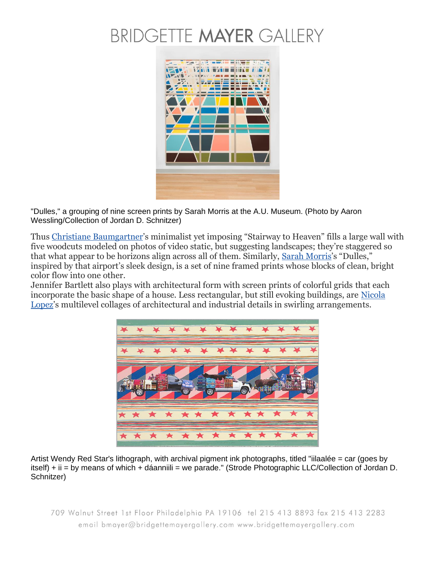

"Dulles," a grouping of nine screen prints by Sarah Morris at the A.U. Museum. (Photo by Aaron Wessling/Collection of Jordan D. Schnitzer)

Thus [Christiane Baumgartner](https://www.christiane-baumgartner.com/)'s minimalist yet imposing "Stairway to Heaven" fills a large wall with five woodcuts modeled on photos of video static, but suggesting landscapes; they're staggered so that what appear to be horizons align across all of them. Similarly, [Sarah Morris](https://sarahmorris.com/)'s "Dulles," inspired by that airport's sleek design, is a set of nine framed prints whose blocks of clean, bright color flow into one other.

Jennifer Bartlett also plays with architectural form with screen prints of colorful grids that each incorporate the basic shape of a house. Less rectangular, but still evoking buildings, are [Nicola](https://www.nicolalopez.com/)  [Lopez](https://www.nicolalopez.com/)'s multilevel collages of architectural and industrial details in swirling arrangements.



Artist Wendy Red Star's lithograph, with archival pigment ink photographs, titled "iilaalée = car (goes by itself) + ii = by means of which + dáanniili = we parade." (Strode Photographic LLC/Collection of Jordan D. Schnitzer)

709 Walnut Street 1st Floor Philadelphia PA 19106 tel 215 413 8893 fax 215 413 2283 email bmayer@bridgettemayergallery.com www.bridgettemayergallery.com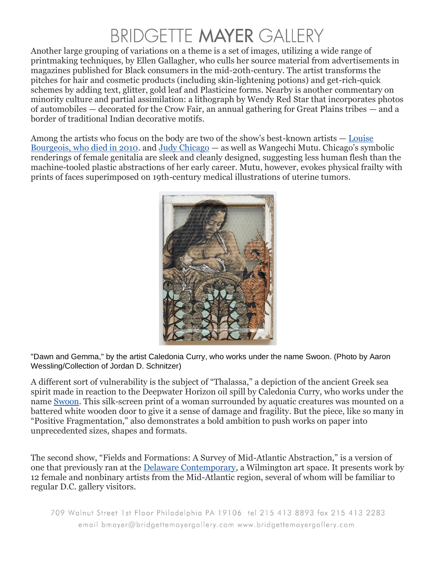Another large grouping of variations on a theme is a set of images, utilizing a wide range of printmaking techniques, by Ellen Gallagher, who culls her source material from advertisements in magazines published for Black consumers in the mid-20th-century. The artist transforms the pitches for hair and cosmetic products (including skin-lightening potions) and get-rich-quick schemes by adding text, glitter, gold leaf and Plasticine forms. Nearby is another commentary on minority culture and partial assimilation: a lithograph by Wendy Red Star that incorporates photos of automobiles — decorated for the Crow Fair, an annual gathering for Great Plains tribes — and a border of traditional Indian decorative motifs.

Among the artists who focus on the body are two of the show's best-known artists — [Louise](https://www.washingtonpost.com/wp-dyn/content/article/2010/05/31/AR2010053102193.html?itid=lk_inline_manual_13)  [Bourgeois, who died in 2010.](https://www.washingtonpost.com/wp-dyn/content/article/2010/05/31/AR2010053102193.html?itid=lk_inline_manual_13) and [Judy Chicago](https://www.judychicago.com/) — as well as Wangechi Mutu. Chicago's symbolic renderings of female genitalia are sleek and cleanly designed, suggesting less human flesh than the machine-tooled plastic abstractions of her early career. Mutu, however, evokes physical frailty with prints of faces superimposed on 19th-century medical illustrations of uterine tumors.



"Dawn and Gemma," by the artist Caledonia Curry, who works under the name Swoon. (Photo by Aaron Wessling/Collection of Jordan D. Schnitzer)

A different sort of vulnerability is the subject of "Thalassa," a depiction of the ancient Greek sea spirit made in reaction to the Deepwater Horizon oil spill by Caledonia Curry, who works under the name [Swoon.](https://swoonstudio.org/) This silk-screen print of a woman surrounded by aquatic creatures was mounted on a battered white wooden door to give it a sense of damage and fragility. But the piece, like so many in "Positive Fragmentation," also demonstrates a bold ambition to push works on paper into unprecedented sizes, shapes and formats.

The second show, "Fields and Formations: A Survey of Mid-Atlantic Abstraction," is a version of one that previously ran at the [Delaware Contemporary,](https://www.decontemporary.org/) a Wilmington art space. It presents work by 12 female and nonbinary artists from the Mid-Atlantic region, several of whom will be familiar to regular D.C. gallery visitors.

709 Walnut Street 1st Floor Philadelphia PA 19106 tel 215 413 8893 fax 215 413 2283 email bmayer@bridgettemayergallery.com www.bridgettemayergallery.com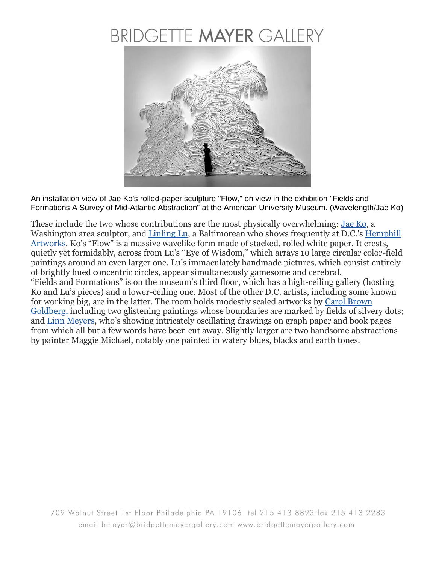

An installation view of Jae Ko's rolled-paper sculpture "Flow," on view in the exhibition "Fields and Formations A Survey of Mid-Atlantic Abstraction" at the American University Museum. (Wavelength/Jae Ko)

These include the two whose contributions are the most physically overwhelming: <u>Jae Ko</u>, a Washington area sculptor, and [Linling Lu,](https://lulinling.net/Artist.asp?ArtistID=19973&Akey=LNDFM7X3&ajx=1) a Baltimorean who shows frequently at D.C.'s Hemphill [Artworks](http://www.hemphillfinearts.com/artists/linling-lu/a-news). Ko's "Flow" is a massive wavelike form made of stacked, rolled white paper. It crests, quietly yet formidably, across from Lu's "Eye of Wisdom," which arrays 10 large circular color-field paintings around an even larger one. Lu's immaculately handmade pictures, which consist entirely of brightly hued concentric circles, appear simultaneously gamesome and cerebral. "Fields and Formations" is on the museum's third floor, which has a high-ceiling gallery (hosting Ko and Lu's pieces) and a lower-ceiling one. Most of the other D.C. artists, including some known for working big, are in the latter. The room holds modestly scaled artworks by [Carol Brown](http://carolbrowngoldberg.com/)  [Goldberg,](http://carolbrowngoldberg.com/) including two glistening paintings whose boundaries are marked by fields of silvery dots; and [Linn Meyers](https://www.linnmeyers.com/), who's showing intricately oscillating drawings on graph paper and book pages from which all but a few words have been cut away. Slightly larger are two handsome abstractions by painter Maggie Michael, notably one painted in watery blues, blacks and earth tones.